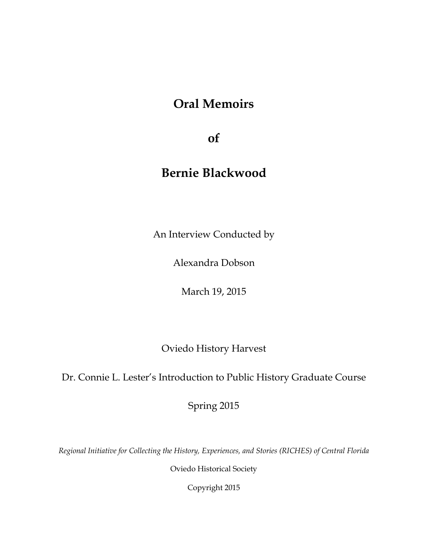# **Oral Memoirs**

**of**

# **Bernie Blackwood**

An Interview Conducted by

Alexandra Dobson

March 19, 2015

Oviedo History Harvest

Dr. Connie L. Lester's Introduction to Public History Graduate Course

Spring 2015

*Regional Initiative for Collecting the History, Experiences, and Stories (RICHES) of Central Florida*

Oviedo Historical Society

Copyright 2015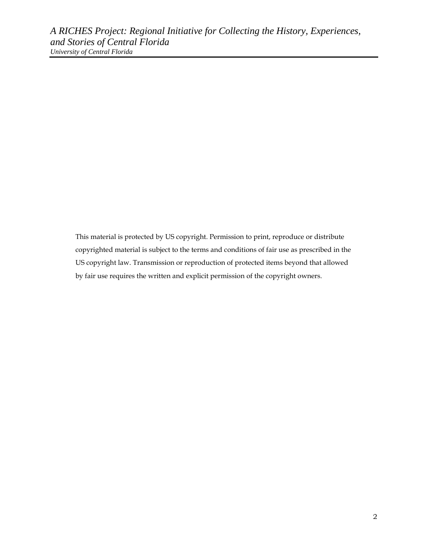This material is protected by US copyright. Permission to print, reproduce or distribute copyrighted material is subject to the terms and conditions of fair use as prescribed in the US copyright law. Transmission or reproduction of protected items beyond that allowed by fair use requires the written and explicit permission of the copyright owners.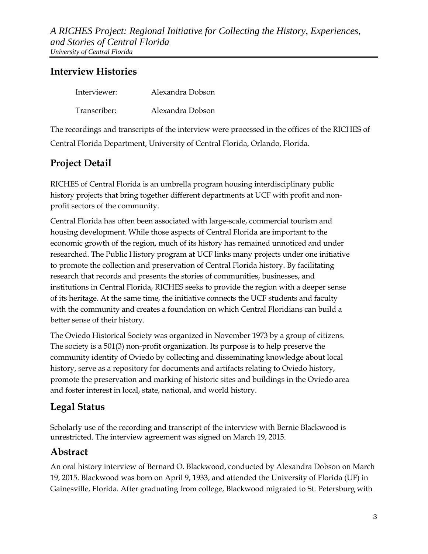### **Interview Histories**

| Interviewer: | Alexandra Dobson |
|--------------|------------------|
| Transcriber: | Alexandra Dobson |

The recordings and transcripts of the interview were processed in the offices of the RICHES of Central Florida Department, University of Central Florida, Orlando, Florida.

### **Project Detail**

RICHES of Central Florida is an umbrella program housing interdisciplinary public history projects that bring together different departments at UCF with profit and nonprofit sectors of the community.

Central Florida has often been associated with large-scale, commercial tourism and housing development. While those aspects of Central Florida are important to the economic growth of the region, much of its history has remained unnoticed and under researched. The Public History program at UCF links many projects under one initiative to promote the collection and preservation of Central Florida history. By facilitating research that records and presents the stories of communities, businesses, and institutions in Central Florida, RICHES seeks to provide the region with a deeper sense of its heritage. At the same time, the initiative connects the UCF students and faculty with the community and creates a foundation on which Central Floridians can build a better sense of their history.

The Oviedo Historical Society was organized in November 1973 by a group of citizens. The society is a 501(3) non-profit organization. Its purpose is to help preserve the community identity of Oviedo by collecting and disseminating knowledge about local history, serve as a repository for documents and artifacts relating to Oviedo history, promote the preservation and marking of historic sites and buildings in the Oviedo area and foster interest in local, state, national, and world history.

### **Legal Status**

Scholarly use of the recording and transcript of the interview with Bernie Blackwood is unrestricted. The interview agreement was signed on March 19, 2015.

### **Abstract**

An oral history interview of Bernard O. Blackwood, conducted by Alexandra Dobson on March 19, 2015. Blackwood was born on April 9, 1933, and attended the University of Florida (UF) in Gainesville, Florida. After graduating from college, Blackwood migrated to St. Petersburg with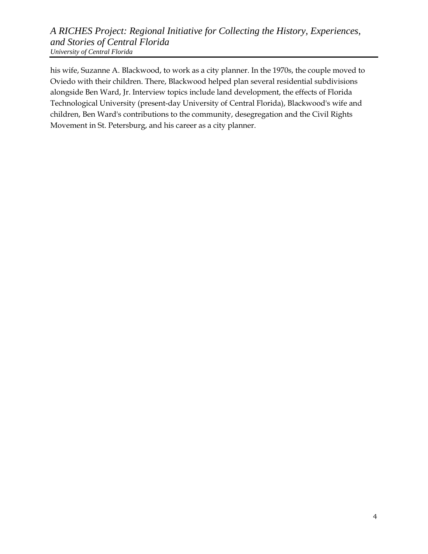his wife, Suzanne A. Blackwood, to work as a city planner. In the 1970s, the couple moved to Oviedo with their children. There, Blackwood helped plan several residential subdivisions alongside Ben Ward, Jr. Interview topics include land development, the effects of Florida Technological University (present-day University of Central Florida), Blackwood's wife and children, Ben Ward's contributions to the community, desegregation and the Civil Rights Movement in St. Petersburg, and his career as a city planner.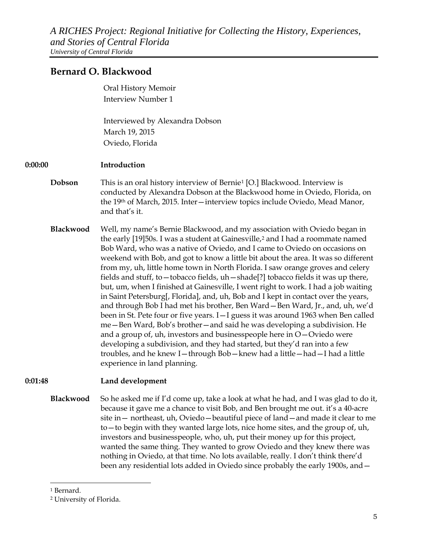### **Bernard O. Blackwood**

Oral History Memoir Interview Number 1

Interviewed by Alexandra Dobson March 19, 2015 Oviedo, Florida

#### **0:00:00 Introduction**

**Dobson** This is an oral history interview of Bernie<sup>[1](#page-4-0)</sup> [O.] Blackwood. Interview is conducted by Alexandra Dobson at the Blackwood home in Oviedo, Florida, on the 19th of March, 2015. Inter—interview topics include Oviedo, Mead Manor, and that's it.

**Blackwood** Well, my name's Bernie Blackwood, and my association with Oviedo began in the early [19]50s. I was a student at Gainesville,<sup>[2](#page-4-1)</sup> and I had a roommate named Bob Ward, who was a native of Oviedo, and I came to Oviedo on occasions on weekend with Bob, and got to know a little bit about the area. It was so different from my, uh, little home town in North Florida. I saw orange groves and celery fields and stuff, to—tobacco fields, uh—shade[?] tobacco fields it was up there, but, um, when I finished at Gainesville, I went right to work. I had a job waiting in Saint Petersburg[, Florida], and, uh, Bob and I kept in contact over the years, and through Bob I had met his brother, Ben Ward—Ben Ward, Jr., and, uh, we'd been in St. Pete four or five years. I—I guess it was around 1963 when Ben called me—Ben Ward, Bob's brother—and said he was developing a subdivision. He and a group of, uh, investors and businesspeople here in O—Oviedo were developing a subdivision, and they had started, but they'd ran into a few troubles, and he knew I—through Bob—knew had a little—had—I had a little experience in land planning.

### **0:01:48 Land development**

**Blackwood** So he asked me if I'd come up, take a look at what he had, and I was glad to do it, because it gave me a chance to visit Bob, and Ben brought me out. it's a 40-acre site in— northeast, uh, Oviedo—beautiful piece of land—and made it clear to me to—to begin with they wanted large lots, nice home sites, and the group of, uh, investors and businesspeople, who, uh, put their money up for this project, wanted the same thing. They wanted to grow Oviedo and they knew there was nothing in Oviedo, at that time. No lots available, really. I don't think there'd been any residential lots added in Oviedo since probably the early 1900s, and—

 $\overline{a}$ 

<span id="page-4-0"></span><sup>1</sup> Bernard.

<span id="page-4-1"></span><sup>2</sup> University of Florida.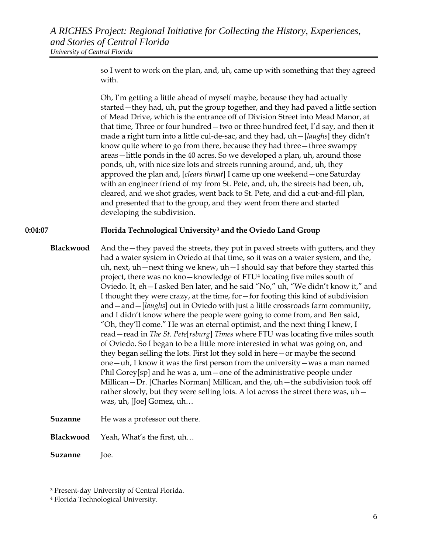so I went to work on the plan, and, uh, came up with something that they agreed with.

Oh, I'm getting a little ahead of myself maybe, because they had actually started—they had, uh, put the group together, and they had paved a little section of Mead Drive, which is the entrance off of Division Street into Mead Manor, at that time, Three or four hundred—two or three hundred feet, I'd say, and then it made a right turn into a little cul-de-sac, and they had, uh—[*laughs*] they didn't know quite where to go from there, because they had three—three swampy areas—little ponds in the 40 acres. So we developed a plan, uh, around those ponds, uh, with nice size lots and streets running around, and, uh, they approved the plan and, [*clears throat*] I came up one weekend—one Saturday with an engineer friend of my from St. Pete, and, uh, the streets had been, uh, cleared, and we shot grades, went back to St. Pete, and did a cut-and-fill plan, and presented that to the group, and they went from there and started developing the subdivision.

#### **0:04:07 Florida Technological University[3](#page-5-0) and the Oviedo Land Group**

- **Blackwood** And the they paved the streets, they put in paved streets with gutters, and they had a water system in Oviedo at that time, so it was on a water system, and the, uh, next, uh—next thing we knew, uh—I should say that before they started this project, there was no kno—knowledge of FTU[4](#page-5-1) locating five miles south of Oviedo. It, eh—I asked Ben later, and he said "No," uh, "We didn't know it," and I thought they were crazy, at the time, for—for footing this kind of subdivision and—and—[*laughs*] out in Oviedo with just a little crossroads farm community, and I didn't know where the people were going to come from, and Ben said, "Oh, they'll come." He was an eternal optimist, and the next thing I knew, I read—read in *The St. Pete*[*rsburg*] *Times* where FTU was locating five miles south of Oviedo. So I began to be a little more interested in what was going on, and they began selling the lots. First lot they sold in here—or maybe the second one—uh, I know it was the first person from the university—was a man named Phil Gorey[sp] and he was a, um—one of the administrative people under Millican—Dr. [Charles Norman] Millican, and the, uh—the subdivision took off rather slowly, but they were selling lots. A lot across the street there was, uh was, uh, [Joe] Gomez, uh…
- **Suzanne** He was a professor out there.
- **Blackwood** Yeah, What's the first, uh…

**Suzanne** Joe.

 $\overline{a}$ 

<span id="page-5-0"></span><sup>3</sup> Present-day University of Central Florida.

<span id="page-5-1"></span><sup>4</sup> Florida Technological University.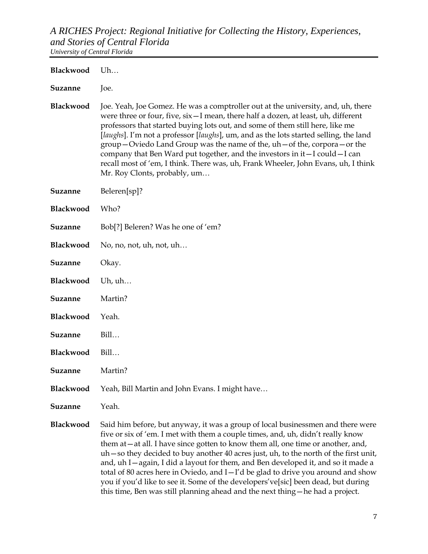**Blackwood** Uh… **Suzanne** Joe. **Blackwood** Joe. Yeah, Joe Gomez. He was a comptroller out at the university, and, uh, there were three or four, five, six—I mean, there half a dozen, at least, uh, different professors that started buying lots out, and some of them still here, like me [*laughs*]. I'm not a professor [*laughs*], um, and as the lots started selling, the land group—Oviedo Land Group was the name of the, uh—of the, corpora—or the company that Ben Ward put together, and the investors in it—I could—I can recall most of 'em, I think. There was, uh, Frank Wheeler, John Evans, uh, I think Mr. Roy Clonts, probably, um… **Suzanne** Beleren[sp]? **Blackwood** Who? **Suzanne** Bob[?] Beleren? Was he one of 'em? **Blackwood** No, no, not, uh, not, uh... **Suzanne** Okay. **Blackwood** Uh, uh… **Suzanne** Martin? **Blackwood** Yeah. **Suzanne** Bill… **Blackwood** Bill… **Suzanne** Martin? **Blackwood** Yeah, Bill Martin and John Evans. I might have… **Suzanne** Yeah. **Blackwood** Said him before, but anyway, it was a group of local businessmen and there were five or six of 'em. I met with them a couple times, and, uh, didn't really know

them at—at all. I have since gotten to know them all, one time or another, and, uh—so they decided to buy another 40 acres just, uh, to the north of the first unit, and, uh I—again, I did a layout for them, and Ben developed it, and so it made a total of 80 acres here in Oviedo, and I—I'd be glad to drive you around and show you if you'd like to see it. Some of the developers've[sic] been dead, but during this time, Ben was still planning ahead and the next thing—he had a project.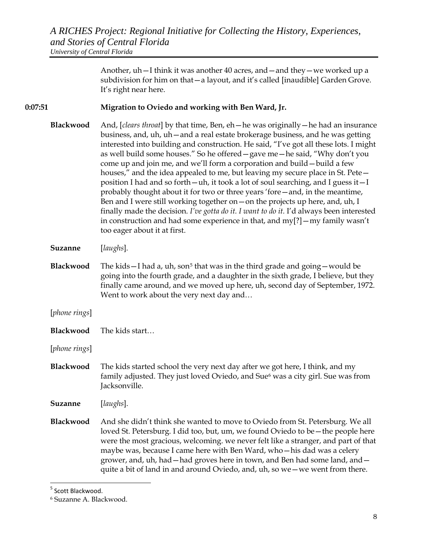Another, uh—I think it was another 40 acres, and—and they—we worked up a subdivision for him on that—a layout, and it's called [inaudible] Garden Grove. It's right near here.

#### **0:07:51 Migration to Oviedo and working with Ben Ward, Jr.**

- **Blackwood** And, [*clears throat*] by that time, Ben, eh—he was originally—he had an insurance business, and, uh, uh—and a real estate brokerage business, and he was getting interested into building and construction. He said, "I've got all these lots. I might as well build some houses." So he offered—gave me—he said, "Why don't you come up and join me, and we'll form a corporation and build—build a few houses," and the idea appealed to me, but leaving my secure place in St. Pete position I had and so forth—uh, it took a lot of soul searching, and I guess it—I probably thought about it for two or three years 'fore—and, in the meantime, Ben and I were still working together on—on the projects up here, and, uh, I finally made the decision. *I've gotta do it. I want to do it.* I'd always been interested in construction and had some experience in that, and my[?]—my family wasn't too eager about it at first.
- **Suzanne** [*laughs*].
- **Blackwood** The kids—I had a, uh, son<sup>[5](#page-7-0)</sup> that was in the third grade and going—would be going into the fourth grade, and a daughter in the sixth grade, I believe, but they finally came around, and we moved up here, uh, second day of September, 1972. Went to work about the very next day and…
- [*phone rings*]
- **Blackwood** The kids start…
- [*phone rings*]
- **Blackwood** The kids started school the very next day after we got here, I think, and my family adjusted. They just loved Oviedo, and Sue<sup>[6](#page-7-1)</sup> was a city girl. Sue was from Jacksonville.
- **Suzanne** [*laughs*].
- **Blackwood** And she didn't think she wanted to move to Oviedo from St. Petersburg. We all loved St. Petersburg. I did too, but, um, we found Oviedo to be—the people here were the most gracious, welcoming. we never felt like a stranger, and part of that maybe was, because I came here with Ben Ward, who—his dad was a celery grower, and, uh, had—had groves here in town, and Ben had some land, and quite a bit of land in and around Oviedo, and, uh, so we—we went from there.

<span id="page-7-0"></span> <sup>5</sup> Scott Blackwood.

<span id="page-7-1"></span><sup>6</sup> Suzanne A. Blackwood.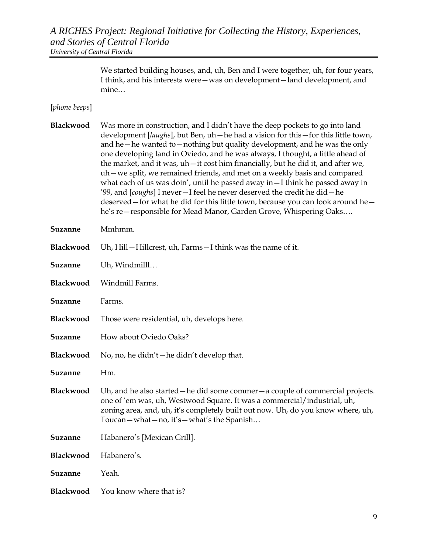> We started building houses, and, uh, Ben and I were together, uh, for four years, I think, and his interests were—was on development—land development, and mine…

#### [*phone beeps*]

**Blackwood** Was more in construction, and I didn't have the deep pockets to go into land development [*laughs*], but Ben, uh—he had a vision for this—for this little town, and he—he wanted to—nothing but quality development, and he was the only one developing land in Oviedo, and he was always, I thought, a little ahead of the market, and it was, uh—it cost him financially, but he did it, and after we, uh—we split, we remained friends, and met on a weekly basis and compared what each of us was doin', until he passed away in—I think he passed away in '99, and [*coughs*] I never—I feel he never deserved the credit he did—he deserved—for what he did for this little town, because you can look around he he's re—responsible for Mead Manor, Garden Grove, Whispering Oaks….

**Suzanne** Mmhmm.

| <b>Blackwood</b> Uh, Hill – Hillcrest, uh, Farms – I think was the name of it. |
|--------------------------------------------------------------------------------|
|                                                                                |

| Suzanne | Uh, Windmilll |
|---------|---------------|
|         |               |

**Blackwood** Windmill Farms.

- **Suzanne** Farms.
- **Blackwood** Those were residential, uh, develops here.
- **Suzanne** How about Oviedo Oaks?
- **Blackwood** No, no, he didn't—he didn't develop that.

**Suzanne** Hm.

- **Blackwood** Uh, and he also started—he did some commer—a couple of commercial projects. one of 'em was, uh, Westwood Square. It was a commercial/industrial, uh, zoning area, and, uh, it's completely built out now. Uh, do you know where, uh, Toucan—what—no, it's—what's the Spanish…
- **Suzanne** Habanero's [Mexican Grill].
- **Blackwood** Habanero's.
- **Suzanne** Yeah.
- **Blackwood** You know where that is?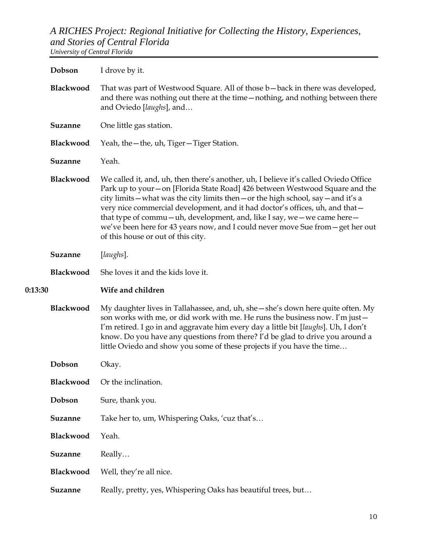|         | Dobson         | I drove by it.                                                                                                                                                                                                                                                                                                                                                                                                                                                                                                                                    |
|---------|----------------|---------------------------------------------------------------------------------------------------------------------------------------------------------------------------------------------------------------------------------------------------------------------------------------------------------------------------------------------------------------------------------------------------------------------------------------------------------------------------------------------------------------------------------------------------|
|         | Blackwood      | That was part of Westwood Square. All of those b – back in there was developed,<br>and there was nothing out there at the time-nothing, and nothing between there<br>and Oviedo [laughs], and                                                                                                                                                                                                                                                                                                                                                     |
|         | Suzanne        | One little gas station.                                                                                                                                                                                                                                                                                                                                                                                                                                                                                                                           |
|         | Blackwood      | Yeah, the - the, uh, Tiger - Tiger Station.                                                                                                                                                                                                                                                                                                                                                                                                                                                                                                       |
|         | <b>Suzanne</b> | Yeah.                                                                                                                                                                                                                                                                                                                                                                                                                                                                                                                                             |
|         | Blackwood      | We called it, and, uh, then there's another, uh, I believe it's called Oviedo Office<br>Park up to your - on [Florida State Road] 426 between Westwood Square and the<br>city limits - what was the city limits then - or the high school, say - and it's a<br>very nice commercial development, and it had doctor's offices, uh, and that -<br>that type of commu-uh, development, and, like I say, we - we came here -<br>we've been here for 43 years now, and I could never move Sue from - get her out<br>of this house or out of this city. |
|         | Suzanne        | [laughs].                                                                                                                                                                                                                                                                                                                                                                                                                                                                                                                                         |
|         | Blackwood      | She loves it and the kids love it.                                                                                                                                                                                                                                                                                                                                                                                                                                                                                                                |
|         |                |                                                                                                                                                                                                                                                                                                                                                                                                                                                                                                                                                   |
| 0:13:30 |                | Wife and children                                                                                                                                                                                                                                                                                                                                                                                                                                                                                                                                 |
|         | Blackwood      | My daughter lives in Tallahassee, and, uh, she - she's down here quite often. My<br>son works with me, or did work with me. He runs the business now. I'm just -<br>I'm retired. I go in and aggravate him every day a little bit [laughs]. Uh, I don't<br>know. Do you have any questions from there? I'd be glad to drive you around a<br>little Oviedo and show you some of these projects if you have the time                                                                                                                                |
|         | Dobson         | Okay.                                                                                                                                                                                                                                                                                                                                                                                                                                                                                                                                             |
|         | Blackwood      | Or the inclination.                                                                                                                                                                                                                                                                                                                                                                                                                                                                                                                               |
|         | Dobson         | Sure, thank you.                                                                                                                                                                                                                                                                                                                                                                                                                                                                                                                                  |
|         | Suzanne        | Take her to, um, Whispering Oaks, 'cuz that's                                                                                                                                                                                                                                                                                                                                                                                                                                                                                                     |
|         | Blackwood      | Yeah.                                                                                                                                                                                                                                                                                                                                                                                                                                                                                                                                             |
|         | Suzanne        | Really                                                                                                                                                                                                                                                                                                                                                                                                                                                                                                                                            |
|         | Blackwood      | Well, they're all nice.                                                                                                                                                                                                                                                                                                                                                                                                                                                                                                                           |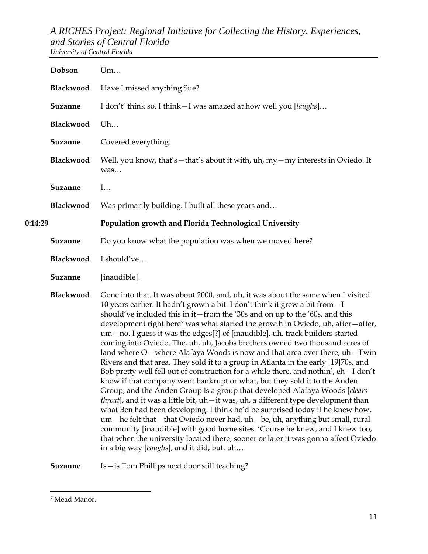|         | Dobson         | Um                                                                                                                                                                                                                                                                                                                                                                                                                                                                                                                                                                                                                                                                                                                                                                                                                                                                                                                                                                                                                                                                                                                                                                                                                                                                                                                                                                                                                     |
|---------|----------------|------------------------------------------------------------------------------------------------------------------------------------------------------------------------------------------------------------------------------------------------------------------------------------------------------------------------------------------------------------------------------------------------------------------------------------------------------------------------------------------------------------------------------------------------------------------------------------------------------------------------------------------------------------------------------------------------------------------------------------------------------------------------------------------------------------------------------------------------------------------------------------------------------------------------------------------------------------------------------------------------------------------------------------------------------------------------------------------------------------------------------------------------------------------------------------------------------------------------------------------------------------------------------------------------------------------------------------------------------------------------------------------------------------------------|
|         | Blackwood      | Have I missed anything Sue?                                                                                                                                                                                                                                                                                                                                                                                                                                                                                                                                                                                                                                                                                                                                                                                                                                                                                                                                                                                                                                                                                                                                                                                                                                                                                                                                                                                            |
|         | <b>Suzanne</b> | I don't' think so. I think - I was amazed at how well you [laughs]                                                                                                                                                                                                                                                                                                                                                                                                                                                                                                                                                                                                                                                                                                                                                                                                                                                                                                                                                                                                                                                                                                                                                                                                                                                                                                                                                     |
|         | Blackwood      | Uh                                                                                                                                                                                                                                                                                                                                                                                                                                                                                                                                                                                                                                                                                                                                                                                                                                                                                                                                                                                                                                                                                                                                                                                                                                                                                                                                                                                                                     |
|         | <b>Suzanne</b> | Covered everything.                                                                                                                                                                                                                                                                                                                                                                                                                                                                                                                                                                                                                                                                                                                                                                                                                                                                                                                                                                                                                                                                                                                                                                                                                                                                                                                                                                                                    |
|         | Blackwood      | Well, you know, that's - that's about it with, uh, my - my interests in Oviedo. It<br>was                                                                                                                                                                                                                                                                                                                                                                                                                                                                                                                                                                                                                                                                                                                                                                                                                                                                                                                                                                                                                                                                                                                                                                                                                                                                                                                              |
|         | <b>Suzanne</b> | I                                                                                                                                                                                                                                                                                                                                                                                                                                                                                                                                                                                                                                                                                                                                                                                                                                                                                                                                                                                                                                                                                                                                                                                                                                                                                                                                                                                                                      |
|         | Blackwood      | Was primarily building. I built all these years and                                                                                                                                                                                                                                                                                                                                                                                                                                                                                                                                                                                                                                                                                                                                                                                                                                                                                                                                                                                                                                                                                                                                                                                                                                                                                                                                                                    |
| 0:14:29 |                | Population growth and Florida Technological University                                                                                                                                                                                                                                                                                                                                                                                                                                                                                                                                                                                                                                                                                                                                                                                                                                                                                                                                                                                                                                                                                                                                                                                                                                                                                                                                                                 |
|         | Suzanne        | Do you know what the population was when we moved here?                                                                                                                                                                                                                                                                                                                                                                                                                                                                                                                                                                                                                                                                                                                                                                                                                                                                                                                                                                                                                                                                                                                                                                                                                                                                                                                                                                |
|         | Blackwood      | I should've                                                                                                                                                                                                                                                                                                                                                                                                                                                                                                                                                                                                                                                                                                                                                                                                                                                                                                                                                                                                                                                                                                                                                                                                                                                                                                                                                                                                            |
|         | Suzanne        | [inaudible].                                                                                                                                                                                                                                                                                                                                                                                                                                                                                                                                                                                                                                                                                                                                                                                                                                                                                                                                                                                                                                                                                                                                                                                                                                                                                                                                                                                                           |
|         | Blackwood      | Gone into that. It was about 2000, and, uh, it was about the same when I visited<br>10 years earlier. It hadn't grown a bit. I don't think it grew a bit from - I<br>should've included this in it—from the '30s and on up to the '60s, and this<br>development right here <sup>7</sup> was what started the growth in Oviedo, uh, after-after,<br>um - no. I guess it was the edges[?] of [inaudible], uh, track builders started<br>coming into Oviedo. The, uh, uh, Jacobs brothers owned two thousand acres of<br>land where O – where Alafaya Woods is now and that area over there, uh – Twin<br>Rivers and that area. They sold it to a group in Atlanta in the early [19]70s, and<br>Bob pretty well fell out of construction for a while there, and nothin', eh-I don't<br>know if that company went bankrupt or what, but they sold it to the Anden<br>Group, and the Anden Group is a group that developed Alafaya Woods [clears]<br>throat], and it was a little bit, uh-it was, uh, a different type development than<br>what Ben had been developing. I think he'd be surprised today if he knew how,<br>um-he felt that-that Oviedo never had, uh-be, uh, anything but small, rural<br>community [inaudible] with good home sites. 'Course he knew, and I knew too,<br>that when the university located there, sooner or later it was gonna affect Oviedo<br>in a big way [coughs], and it did, but, uh |
|         | <b>Suzanne</b> | Is - is Tom Phillips next door still teaching?                                                                                                                                                                                                                                                                                                                                                                                                                                                                                                                                                                                                                                                                                                                                                                                                                                                                                                                                                                                                                                                                                                                                                                                                                                                                                                                                                                         |

<span id="page-10-0"></span> $\overline{a}$ <sup>7</sup> Mead Manor.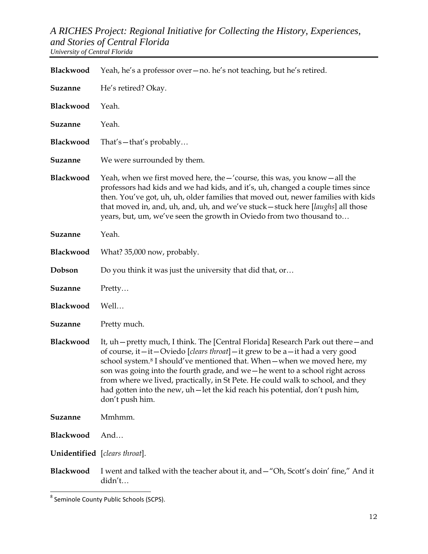| Blackwood                            | Yeah, he's a professor over – no. he's not teaching, but he's retired.                                                                                                                                                                                                                                                                                                                                                                                                                                                                  |
|--------------------------------------|-----------------------------------------------------------------------------------------------------------------------------------------------------------------------------------------------------------------------------------------------------------------------------------------------------------------------------------------------------------------------------------------------------------------------------------------------------------------------------------------------------------------------------------------|
| Suzanne                              | He's retired? Okay.                                                                                                                                                                                                                                                                                                                                                                                                                                                                                                                     |
| Blackwood                            | Yeah.                                                                                                                                                                                                                                                                                                                                                                                                                                                                                                                                   |
| <b>Suzanne</b>                       | Yeah.                                                                                                                                                                                                                                                                                                                                                                                                                                                                                                                                   |
| Blackwood                            | That's - that's probably                                                                                                                                                                                                                                                                                                                                                                                                                                                                                                                |
| Suzanne                              | We were surrounded by them.                                                                                                                                                                                                                                                                                                                                                                                                                                                                                                             |
| Blackwood                            | Yeah, when we first moved here, the $-$ 'course, this was, you know $-$ all the<br>professors had kids and we had kids, and it's, uh, changed a couple times since<br>then. You've got, uh, uh, older families that moved out, newer families with kids<br>that moved in, and, uh, and, uh, and we've stuck-stuck here [laughs] all those<br>years, but, um, we've seen the growth in Oviedo from two thousand to                                                                                                                       |
| Suzanne                              | Yeah.                                                                                                                                                                                                                                                                                                                                                                                                                                                                                                                                   |
| Blackwood                            | What? 35,000 now, probably.                                                                                                                                                                                                                                                                                                                                                                                                                                                                                                             |
| Dobson                               | Do you think it was just the university that did that, or                                                                                                                                                                                                                                                                                                                                                                                                                                                                               |
| <b>Suzanne</b>                       | Pretty                                                                                                                                                                                                                                                                                                                                                                                                                                                                                                                                  |
| Blackwood                            | Well                                                                                                                                                                                                                                                                                                                                                                                                                                                                                                                                    |
| Suzanne                              | Pretty much.                                                                                                                                                                                                                                                                                                                                                                                                                                                                                                                            |
| Blackwood                            | It, uh – pretty much, I think. The [Central Florida] Research Park out there – and<br>of course, it -it - Oviedo [clears throat] - it grew to be a -it had a very good<br>school system. <sup>8</sup> I should've mentioned that. When - when we moved here, my<br>son was going into the fourth grade, and we - he went to a school right across<br>from where we lived, practically, in St Pete. He could walk to school, and they<br>had gotten into the new, uh-let the kid reach his potential, don't push him,<br>don't push him. |
| Suzanne                              | Mmhmm.                                                                                                                                                                                                                                                                                                                                                                                                                                                                                                                                  |
| Blackwood                            | And                                                                                                                                                                                                                                                                                                                                                                                                                                                                                                                                     |
| <b>Unidentified</b> [clears throat]. |                                                                                                                                                                                                                                                                                                                                                                                                                                                                                                                                         |
| Blackwood                            | I went and talked with the teacher about it, and - "Oh, Scott's doin' fine," And it<br>didn't                                                                                                                                                                                                                                                                                                                                                                                                                                           |

<span id="page-11-0"></span> <sup>8</sup> Seminole County Public Schools (SCPS).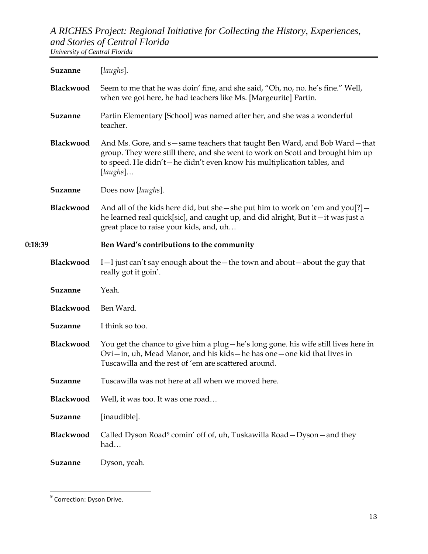|         | <b>Suzanne</b> | [laughs].                                                                                                                                                                                                                                         |
|---------|----------------|---------------------------------------------------------------------------------------------------------------------------------------------------------------------------------------------------------------------------------------------------|
|         | Blackwood      | Seem to me that he was doin' fine, and she said, "Oh, no, no. he's fine." Well,<br>when we got here, he had teachers like Ms. [Margeurite] Partin.                                                                                                |
|         | Suzanne        | Partin Elementary [School] was named after her, and she was a wonderful<br>teacher.                                                                                                                                                               |
|         | Blackwood      | And Ms. Gore, and s-same teachers that taught Ben Ward, and Bob Ward-that<br>group. They were still there, and she went to work on Scott and brought him up<br>to speed. He didn't-he didn't even know his multiplication tables, and<br>[laughs] |
|         | Suzanne        | Does now [laughs].                                                                                                                                                                                                                                |
|         | Blackwood      | And all of the kids here did, but she – she put him to work on 'em and $you$ ?] –<br>he learned real quick[sic], and caught up, and did alright, But it-it was just a<br>great place to raise your kids, and, uh                                  |
| 0:18:39 |                | Ben Ward's contributions to the community                                                                                                                                                                                                         |
|         | Blackwood      | I-I just can't say enough about the - the town and about - about the guy that<br>really got it goin'.                                                                                                                                             |
|         | Suzanne        | Yeah.                                                                                                                                                                                                                                             |
|         | Blackwood      | Ben Ward.                                                                                                                                                                                                                                         |
|         | Suzanne        | I think so too.                                                                                                                                                                                                                                   |
|         | Blackwood      | You get the chance to give him a plug-he's long gone. his wife still lives here in<br>Ovi-in, uh, Mead Manor, and his kids-he has one-one kid that lives in<br>Tuscawilla and the rest of 'em are scattered around.                               |
|         | <b>Suzanne</b> | Tuscawilla was not here at all when we moved here.                                                                                                                                                                                                |
|         | Blackwood      | Well, it was too. It was one road                                                                                                                                                                                                                 |
|         | Suzanne        | [inaudible].                                                                                                                                                                                                                                      |
|         | Blackwood      | Called Dyson Road <sup>9</sup> comin' off of, uh, Tuskawilla Road - Dyson - and they<br>had                                                                                                                                                       |
|         | Suzanne        | Dyson, yeah.                                                                                                                                                                                                                                      |

<span id="page-12-0"></span><sup>&</sup>lt;sup>9</sup> Correction: Dyson Drive.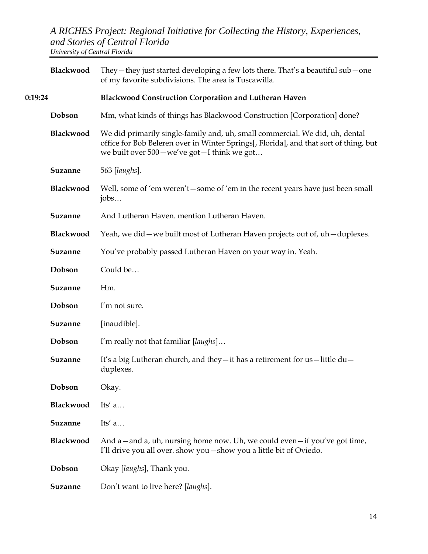|         | Blackwood      | They - they just started developing a few lots there. That's a beautiful sub - one<br>of my favorite subdivisions. The area is Tuscawilla.                                                                              |
|---------|----------------|-------------------------------------------------------------------------------------------------------------------------------------------------------------------------------------------------------------------------|
| 0:19:24 |                | Blackwood Construction Corporation and Lutheran Haven                                                                                                                                                                   |
|         | Dobson         | Mm, what kinds of things has Blackwood Construction [Corporation] done?                                                                                                                                                 |
|         | Blackwood      | We did primarily single-family and, uh, small commercial. We did, uh, dental<br>office for Bob Beleren over in Winter Springs[, Florida], and that sort of thing, but<br>we built over 500 - we've got - I think we got |
|         | Suzanne        | 563 [laughs].                                                                                                                                                                                                           |
|         | Blackwood      | Well, some of 'em weren't - some of 'em in the recent years have just been small<br>jobs                                                                                                                                |
|         | Suzanne        | And Lutheran Haven. mention Lutheran Haven.                                                                                                                                                                             |
|         | Blackwood      | Yeah, we did – we built most of Lutheran Haven projects out of, uh – duplexes.                                                                                                                                          |
|         | Suzanne        | You've probably passed Lutheran Haven on your way in. Yeah.                                                                                                                                                             |
|         | Dobson         | Could be                                                                                                                                                                                                                |
|         | Suzanne        | Hm.                                                                                                                                                                                                                     |
|         | Dobson         | I'm not sure.                                                                                                                                                                                                           |
|         | Suzanne        | [inaudible].                                                                                                                                                                                                            |
|         | Dobson         | I'm really not that familiar [laughs]                                                                                                                                                                                   |
|         | Suzanne        | It's a big Lutheran church, and they - it has a retirement for us-little du-<br>duplexes.                                                                                                                               |
|         | Dobson         | Okay.                                                                                                                                                                                                                   |
|         | Blackwood      | Its' $a$                                                                                                                                                                                                                |
|         | Suzanne        | Its' $a$                                                                                                                                                                                                                |
|         | Blackwood      | And $a$ – and $a$ , uh, nursing home now. Uh, we could even – if you've got time,<br>I'll drive you all over. show you - show you a little bit of Oviedo.                                                               |
|         | Dobson         | Okay [laughs], Thank you.                                                                                                                                                                                               |
|         | <b>Suzanne</b> | Don't want to live here? [laughs].                                                                                                                                                                                      |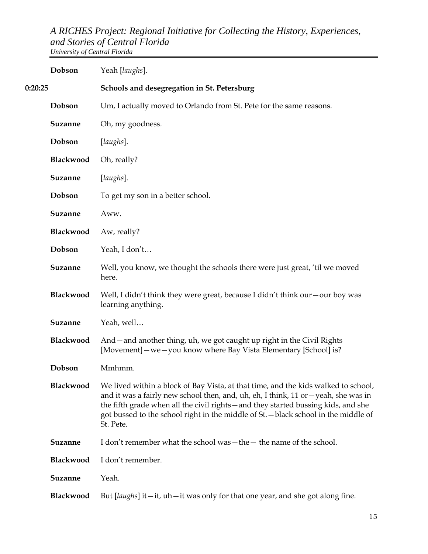|         | Dobson         | Yeah [laughs].                                                                                                                                                                                                                                                                                                                                                      |
|---------|----------------|---------------------------------------------------------------------------------------------------------------------------------------------------------------------------------------------------------------------------------------------------------------------------------------------------------------------------------------------------------------------|
| 0:20:25 |                | Schools and desegregation in St. Petersburg                                                                                                                                                                                                                                                                                                                         |
|         | Dobson         | Um, I actually moved to Orlando from St. Pete for the same reasons.                                                                                                                                                                                                                                                                                                 |
|         | Suzanne        | Oh, my goodness.                                                                                                                                                                                                                                                                                                                                                    |
|         | Dobson         | [laughs].                                                                                                                                                                                                                                                                                                                                                           |
|         | Blackwood      | Oh, really?                                                                                                                                                                                                                                                                                                                                                         |
|         | Suzanne        | [laughs].                                                                                                                                                                                                                                                                                                                                                           |
|         | Dobson         | To get my son in a better school.                                                                                                                                                                                                                                                                                                                                   |
|         | Suzanne        | Aww.                                                                                                                                                                                                                                                                                                                                                                |
|         | Blackwood      | Aw, really?                                                                                                                                                                                                                                                                                                                                                         |
|         | Dobson         | Yeah, I don't                                                                                                                                                                                                                                                                                                                                                       |
|         | Suzanne        | Well, you know, we thought the schools there were just great, 'til we moved<br>here.                                                                                                                                                                                                                                                                                |
|         | Blackwood      | Well, I didn't think they were great, because I didn't think our - our boy was<br>learning anything.                                                                                                                                                                                                                                                                |
|         | Suzanne        | Yeah, well                                                                                                                                                                                                                                                                                                                                                          |
|         | Blackwood      | And - and another thing, uh, we got caught up right in the Civil Rights<br>[Movement] - we - you know where Bay Vista Elementary [School] is?                                                                                                                                                                                                                       |
|         | Dobson         | Mmhmm.                                                                                                                                                                                                                                                                                                                                                              |
|         | Blackwood      | We lived within a block of Bay Vista, at that time, and the kids walked to school,<br>and it was a fairly new school then, and, uh, eh, I think, 11 or - yeah, she was in<br>the fifth grade when all the civil rights - and they started bussing kids, and she<br>got bussed to the school right in the middle of St. - black school in the middle of<br>St. Pete. |
|         | <b>Suzanne</b> | I don't remember what the school was - the - the name of the school.                                                                                                                                                                                                                                                                                                |
|         | Blackwood      | I don't remember.                                                                                                                                                                                                                                                                                                                                                   |
|         | Suzanne        | Yeah.                                                                                                                                                                                                                                                                                                                                                               |
|         | Blackwood      | But [ <i>laughs</i> ] it $-$ it, $uh$ $-$ it was only for that one year, and she got along fine.                                                                                                                                                                                                                                                                    |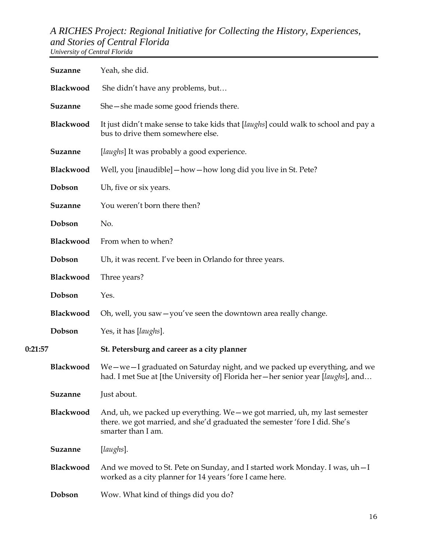|         | <b>Suzanne</b>   | Yeah, she did.                                                                                                                                                                  |
|---------|------------------|---------------------------------------------------------------------------------------------------------------------------------------------------------------------------------|
|         | Blackwood        | She didn't have any problems, but                                                                                                                                               |
|         | Suzanne          | She – she made some good friends there.                                                                                                                                         |
|         | Blackwood        | It just didn't make sense to take kids that [laughs] could walk to school and pay a<br>bus to drive them somewhere else.                                                        |
|         | Suzanne          | [laughs] It was probably a good experience.                                                                                                                                     |
|         | Blackwood        | Well, you [inaudible] - how - how long did you live in St. Pete?                                                                                                                |
|         | Dobson           | Uh, five or six years.                                                                                                                                                          |
|         | Suzanne          | You weren't born there then?                                                                                                                                                    |
|         | Dobson           | No.                                                                                                                                                                             |
|         | Blackwood        | From when to when?                                                                                                                                                              |
|         | Dobson           | Uh, it was recent. I've been in Orlando for three years.                                                                                                                        |
|         | Blackwood        | Three years?                                                                                                                                                                    |
|         | Dobson           | Yes.                                                                                                                                                                            |
|         | Blackwood        | Oh, well, you saw - you've seen the downtown area really change.                                                                                                                |
|         | Dobson           | Yes, it has [laughs].                                                                                                                                                           |
| 0:21:57 |                  | St. Petersburg and career as a city planner                                                                                                                                     |
|         | <b>Blackwood</b> | We – we – I graduated on Saturday night, and we packed up everything, and we<br>had. I met Sue at [the University of] Florida her—her senior year [laughs], and                 |
|         | Suzanne          | Just about.                                                                                                                                                                     |
|         | Blackwood        | And, uh, we packed up everything. We - we got married, uh, my last semester<br>there. we got married, and she'd graduated the semester 'fore I did. She's<br>smarter than I am. |
|         | Suzanne          | [laughs].                                                                                                                                                                       |
|         | Blackwood        | And we moved to St. Pete on Sunday, and I started work Monday. I was, uh - I<br>worked as a city planner for 14 years 'fore I came here.                                        |
|         | Dobson           | Wow. What kind of things did you do?                                                                                                                                            |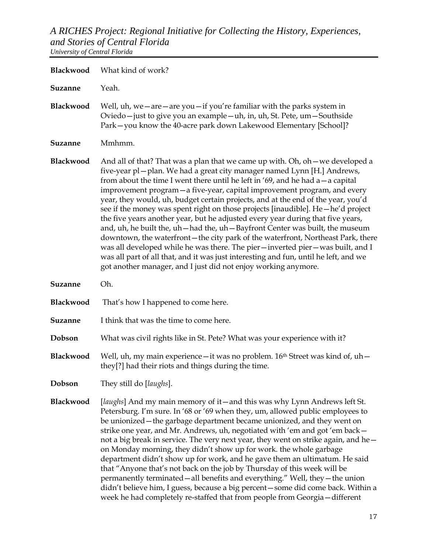| Blackwood        | What kind of work?                                                                                                                                                                                                                                                                                                                                                                                                                                                                                                                                                                                                                                                                                                                                                                                                                                                                                                                                                                                   |
|------------------|------------------------------------------------------------------------------------------------------------------------------------------------------------------------------------------------------------------------------------------------------------------------------------------------------------------------------------------------------------------------------------------------------------------------------------------------------------------------------------------------------------------------------------------------------------------------------------------------------------------------------------------------------------------------------------------------------------------------------------------------------------------------------------------------------------------------------------------------------------------------------------------------------------------------------------------------------------------------------------------------------|
| Suzanne          | Yeah.                                                                                                                                                                                                                                                                                                                                                                                                                                                                                                                                                                                                                                                                                                                                                                                                                                                                                                                                                                                                |
| Blackwood        | Well, $uh$ , we $-$ are $-$ are $you$ $-$ if you're familiar with the parks system in<br>Oviedo-just to give you an example-uh, in, uh, St. Pete, um-Southside<br>Park-you know the 40-acre park down Lakewood Elementary [School]?                                                                                                                                                                                                                                                                                                                                                                                                                                                                                                                                                                                                                                                                                                                                                                  |
| <b>Suzanne</b>   | Mmhmm.                                                                                                                                                                                                                                                                                                                                                                                                                                                                                                                                                                                                                                                                                                                                                                                                                                                                                                                                                                                               |
| <b>Blackwood</b> | And all of that? That was a plan that we came up with. Oh, oh – we developed a<br>five-year pl-plan. We had a great city manager named Lynn [H.] Andrews,<br>from about the time I went there until he left in '69, and he had $a - a$ capital<br>improvement program - a five-year, capital improvement program, and every<br>year, they would, uh, budget certain projects, and at the end of the year, you'd<br>see if the money was spent right on those projects [inaudible]. He - he'd project<br>the five years another year, but he adjusted every year during that five years,<br>and, uh, he built the, uh-had the, uh-Bayfront Center was built, the museum<br>downtown, the waterfront-the city park of the waterfront, Northeast Park, there<br>was all developed while he was there. The pier-inverted pier-was built, and I<br>was all part of all that, and it was just interesting and fun, until he left, and we<br>got another manager, and I just did not enjoy working anymore. |
| <b>Suzanne</b>   | Oh.                                                                                                                                                                                                                                                                                                                                                                                                                                                                                                                                                                                                                                                                                                                                                                                                                                                                                                                                                                                                  |
| Blackwood        | That's how I happened to come here.                                                                                                                                                                                                                                                                                                                                                                                                                                                                                                                                                                                                                                                                                                                                                                                                                                                                                                                                                                  |
| <b>Suzanne</b>   | I think that was the time to come here.                                                                                                                                                                                                                                                                                                                                                                                                                                                                                                                                                                                                                                                                                                                                                                                                                                                                                                                                                              |
| Dobson           | What was civil rights like in St. Pete? What was your experience with it?                                                                                                                                                                                                                                                                                                                                                                                                                                                                                                                                                                                                                                                                                                                                                                                                                                                                                                                            |
| <b>Blackwood</b> | Well, uh, my main experience - it was no problem. 16 <sup>th</sup> Street was kind of, uh -<br>they[?] had their riots and things during the time.                                                                                                                                                                                                                                                                                                                                                                                                                                                                                                                                                                                                                                                                                                                                                                                                                                                   |
| Dobson           | They still do [laughs].                                                                                                                                                                                                                                                                                                                                                                                                                                                                                                                                                                                                                                                                                                                                                                                                                                                                                                                                                                              |
| Blackwood        | [laughs] And my main memory of it—and this was why Lynn Andrews left St.<br>Petersburg. I'm sure. In '68 or '69 when they, um, allowed public employees to<br>be unionized - the garbage department became unionized, and they went on<br>strike one year, and Mr. Andrews, uh, negotiated with 'em and got 'em back -<br>not a big break in service. The very next year, they went on strike again, and he -<br>on Monday morning, they didn't show up for work. the whole garbage<br>department didn't show up for work, and he gave them an ultimatum. He said<br>that "Anyone that's not back on the job by Thursday of this week will be<br>permanently terminated - all benefits and everything." Well, they - the union<br>didn't believe him, I guess, because a big percent - some did come back. Within a<br>week he had completely re-staffed that from people from Georgia - different                                                                                                   |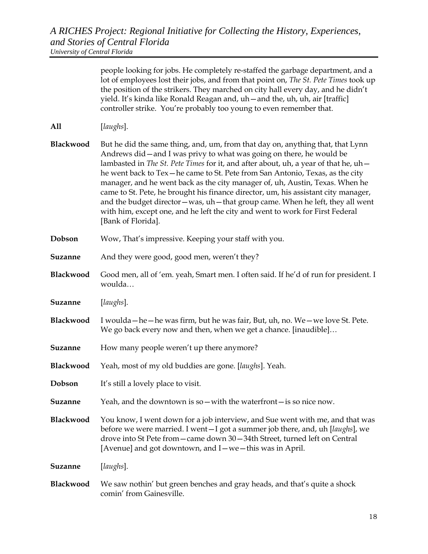|                | people looking for jobs. He completely re-staffed the garbage department, and a<br>lot of employees lost their jobs, and from that point on, The St. Pete Times took up<br>the position of the strikers. They marched on city hall every day, and he didn't<br>yield. It's kinda like Ronald Reagan and, uh - and the, uh, uh, air [traffic]<br>controller strike. You're probably too young to even remember that.                                                                                                                                                                                                                                                                                    |
|----------------|--------------------------------------------------------------------------------------------------------------------------------------------------------------------------------------------------------------------------------------------------------------------------------------------------------------------------------------------------------------------------------------------------------------------------------------------------------------------------------------------------------------------------------------------------------------------------------------------------------------------------------------------------------------------------------------------------------|
| A11            | [laughs].                                                                                                                                                                                                                                                                                                                                                                                                                                                                                                                                                                                                                                                                                              |
| Blackwood      | But he did the same thing, and, um, from that day on, anything that, that Lynn<br>Andrews did - and I was privy to what was going on there, he would be<br>lambasted in <i>The St. Pete Times</i> for it, and after about, uh, a year of that he, uh-<br>he went back to Tex-he came to St. Pete from San Antonio, Texas, as the city<br>manager, and he went back as the city manager of, uh, Austin, Texas. When he<br>came to St. Pete, he brought his finance director, um, his assistant city manager,<br>and the budget director - was, uh - that group came. When he left, they all went<br>with him, except one, and he left the city and went to work for First Federal<br>[Bank of Florida]. |
| Dobson         | Wow, That's impressive. Keeping your staff with you.                                                                                                                                                                                                                                                                                                                                                                                                                                                                                                                                                                                                                                                   |
| <b>Suzanne</b> | And they were good, good men, weren't they?                                                                                                                                                                                                                                                                                                                                                                                                                                                                                                                                                                                                                                                            |
| Blackwood      | Good men, all of 'em. yeah, Smart men. I often said. If he'd of run for president. I<br>woulda                                                                                                                                                                                                                                                                                                                                                                                                                                                                                                                                                                                                         |
| Suzanne        | [laughs].                                                                                                                                                                                                                                                                                                                                                                                                                                                                                                                                                                                                                                                                                              |
| Blackwood      | I woulda - he - he was firm, but he was fair, But, uh, no. We - we love St. Pete.<br>We go back every now and then, when we get a chance. [inaudible]                                                                                                                                                                                                                                                                                                                                                                                                                                                                                                                                                  |
| Suzanne        | How many people weren't up there anymore?                                                                                                                                                                                                                                                                                                                                                                                                                                                                                                                                                                                                                                                              |
| Blackwood      | Yeah, most of my old buddies are gone. [laughs]. Yeah.                                                                                                                                                                                                                                                                                                                                                                                                                                                                                                                                                                                                                                                 |
| Dobson         | It's still a lovely place to visit.                                                                                                                                                                                                                                                                                                                                                                                                                                                                                                                                                                                                                                                                    |
| <b>Suzanne</b> | Yeah, and the downtown is so - with the waterfront - is so nice now.                                                                                                                                                                                                                                                                                                                                                                                                                                                                                                                                                                                                                                   |

**Blackwood** You know, I went down for a job interview, and Sue went with me, and that was before we were married. I went—I got a summer job there, and, uh [*laughs*], we drove into St Pete from—came down 30—34th Street, turned left on Central [Avenue] and got downtown, and I—we—this was in April.

**Suzanne** [*laughs*].

**Blackwood** We saw nothin' but green benches and gray heads, and that's quite a shock comin' from Gainesville.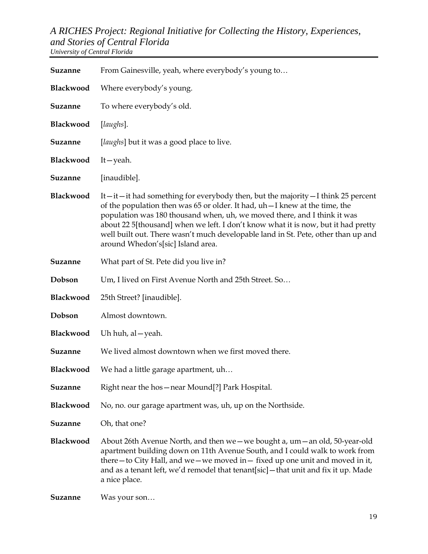| Suzanne        | From Gainesville, yeah, where everybody's young to                                                                                                                                                                                                                                                                                                                                                                                                        |
|----------------|-----------------------------------------------------------------------------------------------------------------------------------------------------------------------------------------------------------------------------------------------------------------------------------------------------------------------------------------------------------------------------------------------------------------------------------------------------------|
| Blackwood      | Where everybody's young.                                                                                                                                                                                                                                                                                                                                                                                                                                  |
| Suzanne        | To where everybody's old.                                                                                                                                                                                                                                                                                                                                                                                                                                 |
| Blackwood      | [laughs].                                                                                                                                                                                                                                                                                                                                                                                                                                                 |
| Suzanne        | [ <i>laughs</i> ] but it was a good place to live.                                                                                                                                                                                                                                                                                                                                                                                                        |
| Blackwood      | $It - \text{veah}.$                                                                                                                                                                                                                                                                                                                                                                                                                                       |
| <b>Suzanne</b> | [inaudible].                                                                                                                                                                                                                                                                                                                                                                                                                                              |
| Blackwood      | It—it—it had something for everybody then, but the majority—I think 25 percent<br>of the population then was 65 or older. It had, uh - I knew at the time, the<br>population was 180 thousand when, uh, we moved there, and I think it was<br>about 22 5[thousand] when we left. I don't know what it is now, but it had pretty<br>well built out. There wasn't much developable land in St. Pete, other than up and<br>around Whedon's[sic] Island area. |
| Suzanne        | What part of St. Pete did you live in?                                                                                                                                                                                                                                                                                                                                                                                                                    |
| Dobson         | Um, I lived on First Avenue North and 25th Street. So                                                                                                                                                                                                                                                                                                                                                                                                     |
| Blackwood      | 25th Street? [inaudible].                                                                                                                                                                                                                                                                                                                                                                                                                                 |
| Dobson         | Almost downtown.                                                                                                                                                                                                                                                                                                                                                                                                                                          |
| Blackwood      | Uh huh, al – yeah.                                                                                                                                                                                                                                                                                                                                                                                                                                        |
| Suzanne        | We lived almost downtown when we first moved there.                                                                                                                                                                                                                                                                                                                                                                                                       |
| Blackwood      | We had a little garage apartment, uh                                                                                                                                                                                                                                                                                                                                                                                                                      |
| <b>Suzanne</b> | Right near the hos - near Mound[?] Park Hospital.                                                                                                                                                                                                                                                                                                                                                                                                         |
| Blackwood      | No, no. our garage apartment was, uh, up on the Northside.                                                                                                                                                                                                                                                                                                                                                                                                |
| <b>Suzanne</b> | Oh, that one?                                                                                                                                                                                                                                                                                                                                                                                                                                             |
| Blackwood      | About 26th Avenue North, and then we – we bought a, um – an old, 50-year-old<br>apartment building down on 11th Avenue South, and I could walk to work from<br>there - to City Hall, and we - we moved in - fixed up one unit and moved in it,<br>and as a tenant left, we'd remodel that tenant[sic] - that unit and fix it up. Made<br>a nice place.                                                                                                    |
| <b>Suzanne</b> | Was your son                                                                                                                                                                                                                                                                                                                                                                                                                                              |